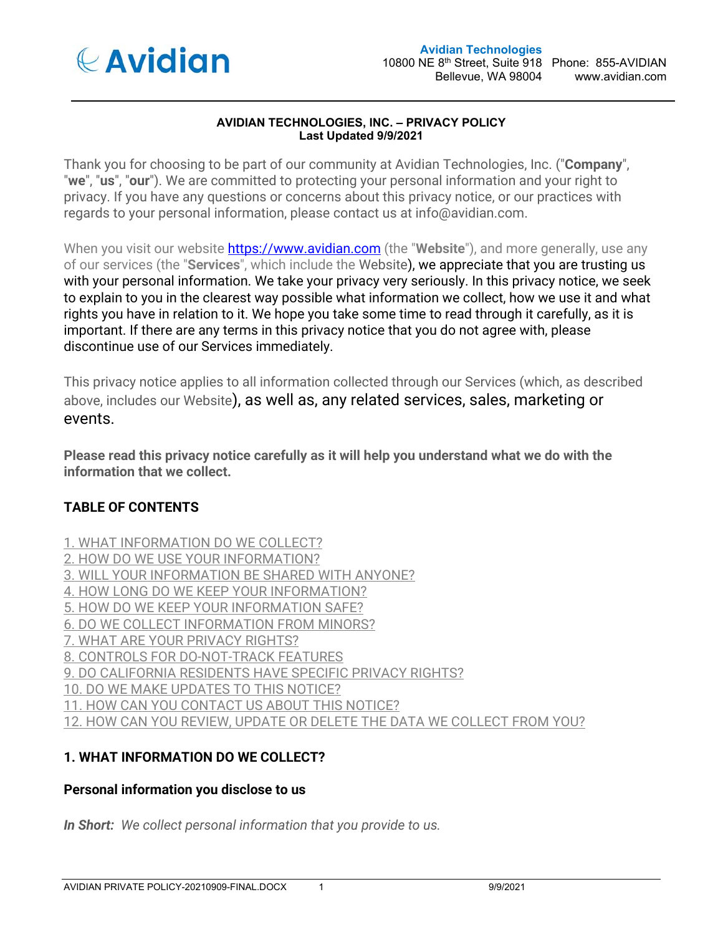

#### **AVIDIAN TECHNOLOGIES, INC. – PRIVACY POLICY Last Updated 9/9/2021**

Thank you for choosing to be part of our community at Avidian Technologies, Inc. ("**Company**", "**we**", "**us**", "**our**"). We are committed to protecting your personal information and your right to privacy. If you have any questions or concerns about this privacy notice, or our practices with regards to your personal information, please contact us at info@avidian.com.

When you visit our website https://www.avidian.com (the "**Website**"), and more generally, use any of our services (the "**Services**", which include the Website), we appreciate that you are trusting us with your personal information. We take your privacy very seriously. In this privacy notice, we seek to explain to you in the clearest way possible what information we collect, how we use it and what rights you have in relation to it. We hope you take some time to read through it carefully, as it is important. If there are any terms in this privacy notice that you do not agree with, please discontinue use of our Services immediately.

This privacy notice applies to all information collected through our Services (which, as described above, includes our Website), as well as, any related services, sales, marketing or events.

**Please read this privacy notice carefully as it will help you understand what we do with the information that we collect.**

# **TABLE OF CONTENTS**

1. WHAT INFORMATION DO WE COLLECT? 2. HOW DO WE USE YOUR INFORMATION? 3. WILL YOUR INFORMATION BE SHARED WITH ANYONE? 4. HOW LONG DO WE KEEP YOUR INFORMATION? 5. HOW DO WE KEEP YOUR INFORMATION SAFE? 6. DO WE COLLECT INFORMATION FROM MINORS? 7. WHAT ARE YOUR PRIVACY RIGHTS? 8. CONTROLS FOR DO-NOT-TRACK FEATURES 9. DO CALIFORNIA RESIDENTS HAVE SPECIFIC PRIVACY RIGHTS? 10. DO WE MAKE UPDATES TO THIS NOTICE? 11. HOW CAN YOU CONTACT US ABOUT THIS NOTICE? 12. HOW CAN YOU REVIEW, UPDATE OR DELETE THE DATA WE COLLECT FROM YOU?

# **1. WHAT INFORMATION DO WE COLLECT?**

### **Personal information you disclose to us**

*In Short: We collect personal information that you provide to us.*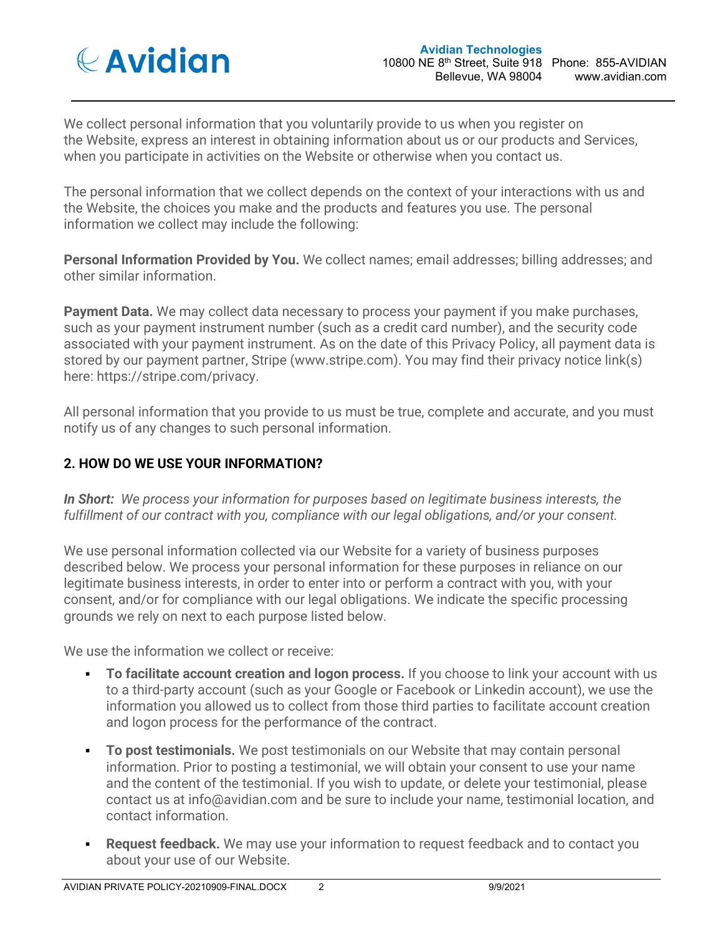

We collect personal information that you voluntarily provide to us when you register on the Website, express an interest in obtaining information about us or our products and Services, when you participate in activities on the Website or otherwise when you contact us.

The personal information that we collect depends on the context of your interactions with us and the Website, the choices you make and the products and features you use. The personal information we collect may include the following:

**Personal Information Provided by You.** We collect names; email addresses; billing addresses; and other similar information.

**Payment Data.** We may collect data necessary to process your payment if you make purchases, such as your payment instrument number (such as a credit card number), and the security code associated with your payment instrument. As on the date of this Privacy Policy, all payment data is stored by our payment partner, Stripe (www.stripe.com). You may find their privacy notice link(s) here: https://stripe.com/privacy.

All personal information that you provide to us must be true, complete and accurate, and you must notify us of any changes to such personal information.

# **2. HOW DO WE USE YOUR INFORMATION?**

*In Short: We process your information for purposes based on legitimate business interests, the fulfillment of our contract with you, compliance with our legal obligations, and/or your consent.*

We use personal information collected via our Website for a variety of business purposes described below. We process your personal information for these purposes in reliance on our legitimate business interests, in order to enter into or perform a contract with you, with your consent, and/or for compliance with our legal obligations. We indicate the specific processing grounds we rely on next to each purpose listed below.

We use the information we collect or receive:

- **To facilitate account creation and logon process.** If you choose to link your account with us to a third-party account (such as your Google or Facebook or Linkedin account), we use the information you allowed us to collect from those third parties to facilitate account creation and logon process for the performance of the contract.
- **To post testimonials.** We post testimonials on our Website that may contain personal information. Prior to posting a testimonial, we will obtain your consent to use your name and the content of the testimonial. If you wish to update, or delete your testimonial, please contact us at info@avidian.com and be sure to include your name, testimonial location, and contact information.
- **Request feedback.** We may use your information to request feedback and to contact you about your use of our Website.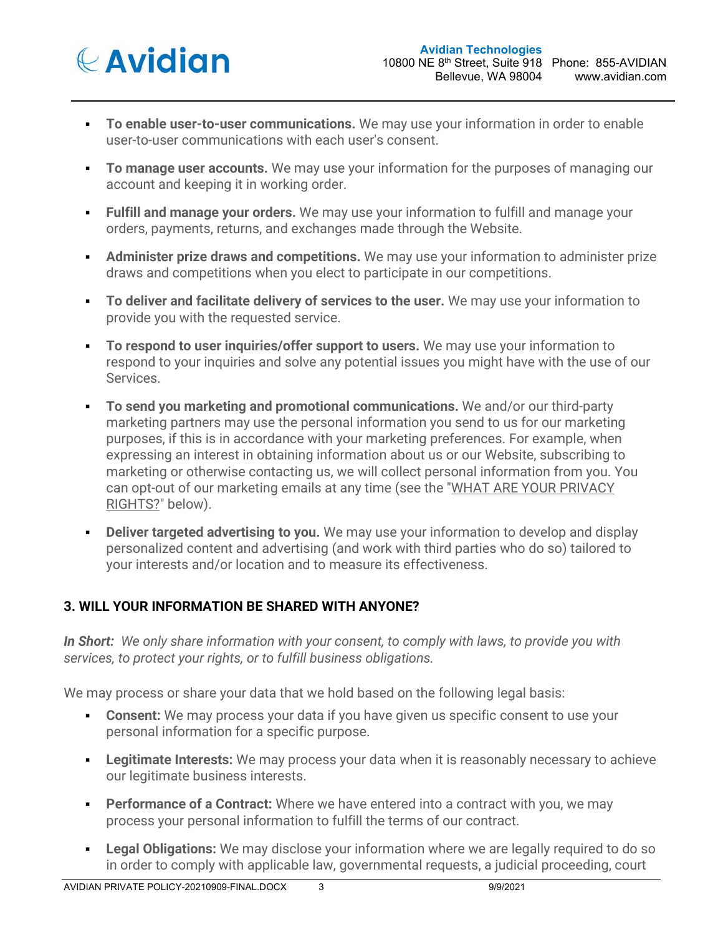

- **To enable user-to-user communications.** We may use your information in order to enable user-to-user communications with each user's consent.
- **To manage user accounts.** We may use your information for the purposes of managing our account and keeping it in working order.
- **Fulfill and manage your orders.** We may use your information to fulfill and manage your orders, payments, returns, and exchanges made through the Website.
- **Administer prize draws and competitions.** We may use your information to administer prize draws and competitions when you elect to participate in our competitions.
- **To deliver and facilitate delivery of services to the user.** We may use your information to provide you with the requested service.
- **To respond to user inquiries/offer support to users.** We may use your information to respond to your inquiries and solve any potential issues you might have with the use of our Services.
- **To send you marketing and promotional communications.** We and/or our third-party marketing partners may use the personal information you send to us for our marketing purposes, if this is in accordance with your marketing preferences. For example, when expressing an interest in obtaining information about us or our Website, subscribing to marketing or otherwise contacting us, we will collect personal information from you. You can opt-out of our marketing emails at any time (see the "WHAT ARE YOUR PRIVACY RIGHTS?" below).
- **Deliver targeted advertising to you.** We may use your information to develop and display personalized content and advertising (and work with third parties who do so) tailored to your interests and/or location and to measure its effectiveness.

# **3. WILL YOUR INFORMATION BE SHARED WITH ANYONE?**

*In Short: We only share information with your consent, to comply with laws, to provide you with services, to protect your rights, or to fulfill business obligations.*

We may process or share your data that we hold based on the following legal basis:

- **Consent:** We may process your data if you have given us specific consent to use your personal information for a specific purpose.
- **Legitimate Interests:** We may process your data when it is reasonably necessary to achieve our legitimate business interests.
- **Performance of a Contract:** Where we have entered into a contract with you, we may process your personal information to fulfill the terms of our contract.
- **Legal Obligations:** We may disclose your information where we are legally required to do so in order to comply with applicable law, governmental requests, a judicial proceeding, court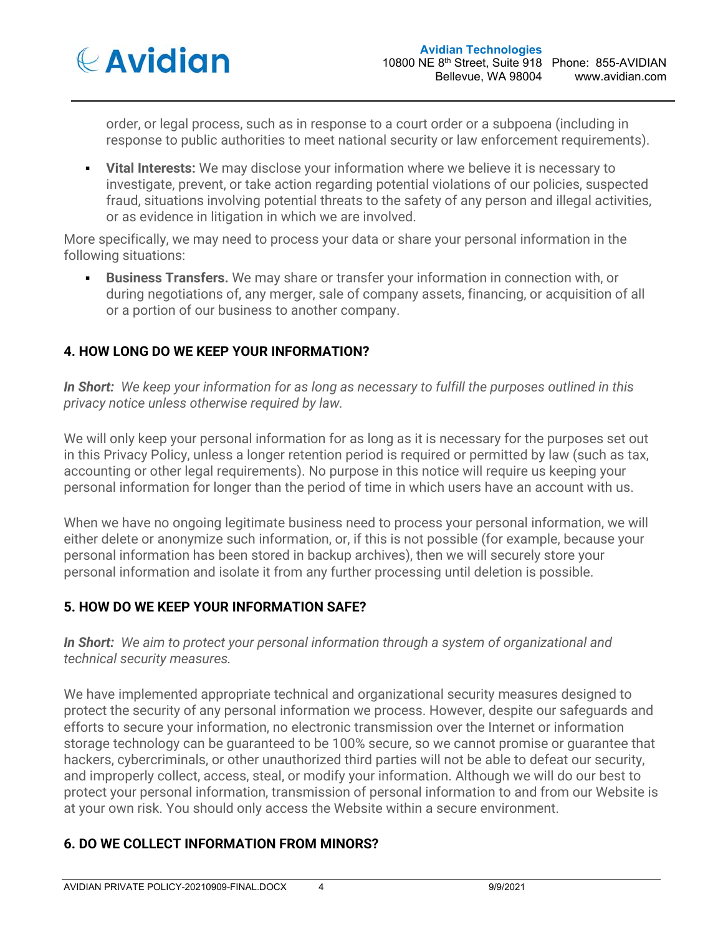

order, or legal process, such as in response to a court order or a subpoena (including in response to public authorities to meet national security or law enforcement requirements).

 **Vital Interests:** We may disclose your information where we believe it is necessary to investigate, prevent, or take action regarding potential violations of our policies, suspected fraud, situations involving potential threats to the safety of any person and illegal activities, or as evidence in litigation in which we are involved.

More specifically, we may need to process your data or share your personal information in the following situations:

 **Business Transfers.** We may share or transfer your information in connection with, or during negotiations of, any merger, sale of company assets, financing, or acquisition of all or a portion of our business to another company.

# **4. HOW LONG DO WE KEEP YOUR INFORMATION?**

*In Short: We keep your information for as long as necessary to fulfill the purposes outlined in this privacy notice unless otherwise required by law.*

We will only keep your personal information for as long as it is necessary for the purposes set out in this Privacy Policy, unless a longer retention period is required or permitted by law (such as tax, accounting or other legal requirements). No purpose in this notice will require us keeping your personal information for longer than the period of time in which users have an account with us.

When we have no ongoing legitimate business need to process your personal information, we will either delete or anonymize such information, or, if this is not possible (for example, because your personal information has been stored in backup archives), then we will securely store your personal information and isolate it from any further processing until deletion is possible.

### **5. HOW DO WE KEEP YOUR INFORMATION SAFE?**

*In Short: We aim to protect your personal information through a system of organizational and technical security measures.*

We have implemented appropriate technical and organizational security measures designed to protect the security of any personal information we process. However, despite our safeguards and efforts to secure your information, no electronic transmission over the Internet or information storage technology can be guaranteed to be 100% secure, so we cannot promise or guarantee that hackers, cybercriminals, or other unauthorized third parties will not be able to defeat our security, and improperly collect, access, steal, or modify your information. Although we will do our best to protect your personal information, transmission of personal information to and from our Website is at your own risk. You should only access the Website within a secure environment.

# **6. DO WE COLLECT INFORMATION FROM MINORS?**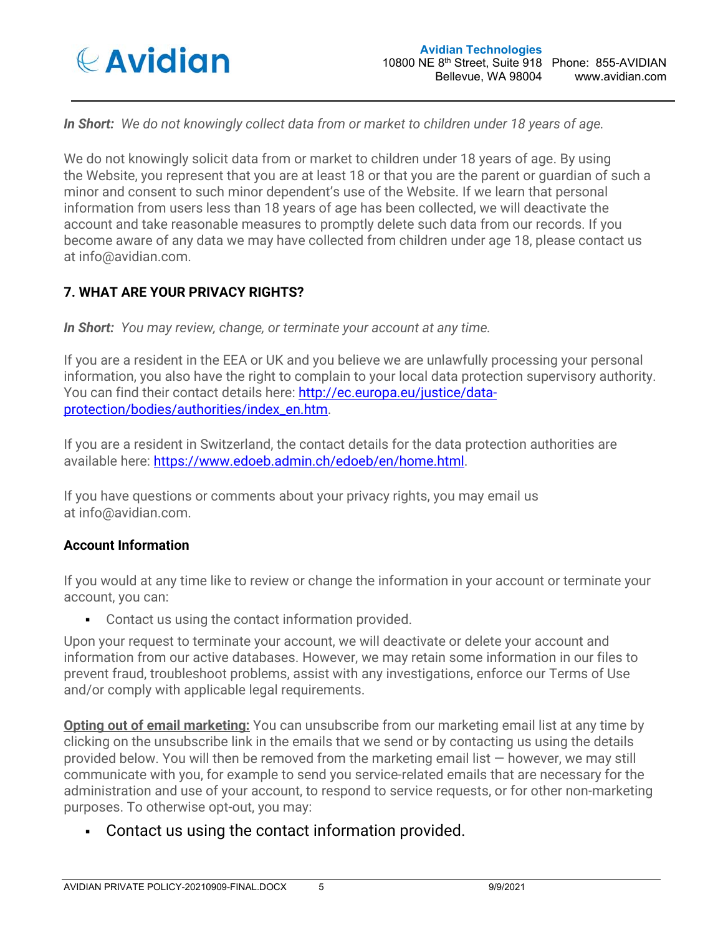

*In Short: We do not knowingly collect data from or market to children under 18 years of age.*

We do not knowingly solicit data from or market to children under 18 years of age. By using the Website, you represent that you are at least 18 or that you are the parent or guardian of such a minor and consent to such minor dependent's use of the Website. If we learn that personal information from users less than 18 years of age has been collected, we will deactivate the account and take reasonable measures to promptly delete such data from our records. If you become aware of any data we may have collected from children under age 18, please contact us at info@avidian.com.

# **7. WHAT ARE YOUR PRIVACY RIGHTS?**

*In Short: You may review, change, or terminate your account at any time.*

If you are a resident in the EEA or UK and you believe we are unlawfully processing your personal information, you also have the right to complain to your local data protection supervisory authority. You can find their contact details here: http://ec.europa.eu/justice/dataprotection/bodies/authorities/index\_en.htm.

If you are a resident in Switzerland, the contact details for the data protection authorities are available here: https://www.edoeb.admin.ch/edoeb/en/home.html.

If you have questions or comments about your privacy rights, you may email us at info@avidian.com.

#### **Account Information**

If you would at any time like to review or change the information in your account or terminate your account, you can:

Contact us using the contact information provided.

Upon your request to terminate your account, we will deactivate or delete your account and information from our active databases. However, we may retain some information in our files to prevent fraud, troubleshoot problems, assist with any investigations, enforce our Terms of Use and/or comply with applicable legal requirements.

**Opting out of email marketing:** You can unsubscribe from our marketing email list at any time by clicking on the unsubscribe link in the emails that we send or by contacting us using the details provided below. You will then be removed from the marketing email list — however, we may still communicate with you, for example to send you service-related emails that are necessary for the administration and use of your account, to respond to service requests, or for other non-marketing purposes. To otherwise opt-out, you may:

Contact us using the contact information provided.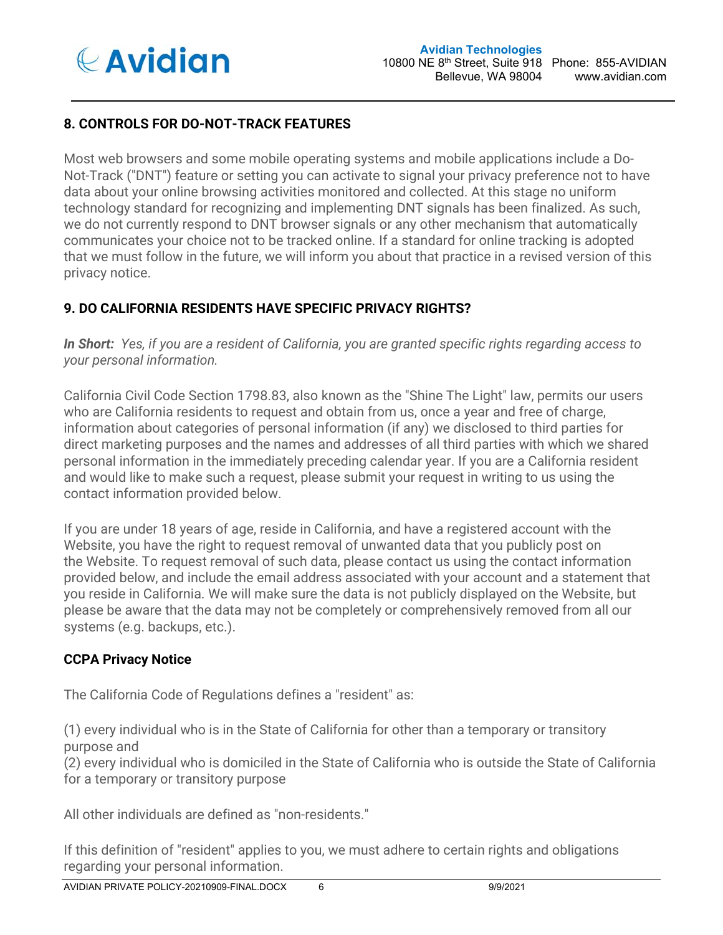

### **8. CONTROLS FOR DO-NOT-TRACK FEATURES**

Most web browsers and some mobile operating systems and mobile applications include a Do-Not-Track ("DNT") feature or setting you can activate to signal your privacy preference not to have data about your online browsing activities monitored and collected. At this stage no uniform technology standard for recognizing and implementing DNT signals has been finalized. As such, we do not currently respond to DNT browser signals or any other mechanism that automatically communicates your choice not to be tracked online. If a standard for online tracking is adopted that we must follow in the future, we will inform you about that practice in a revised version of this privacy notice.

# **9. DO CALIFORNIA RESIDENTS HAVE SPECIFIC PRIVACY RIGHTS?**

*In Short: Yes, if you are a resident of California, you are granted specific rights regarding access to your personal information.*

California Civil Code Section 1798.83, also known as the "Shine The Light" law, permits our users who are California residents to request and obtain from us, once a year and free of charge, information about categories of personal information (if any) we disclosed to third parties for direct marketing purposes and the names and addresses of all third parties with which we shared personal information in the immediately preceding calendar year. If you are a California resident and would like to make such a request, please submit your request in writing to us using the contact information provided below.

If you are under 18 years of age, reside in California, and have a registered account with the Website, you have the right to request removal of unwanted data that you publicly post on the Website. To request removal of such data, please contact us using the contact information provided below, and include the email address associated with your account and a statement that you reside in California. We will make sure the data is not publicly displayed on the Website, but please be aware that the data may not be completely or comprehensively removed from all our systems (e.g. backups, etc.).

### **CCPA Privacy Notice**

The California Code of Regulations defines a "resident" as:

(1) every individual who is in the State of California for other than a temporary or transitory purpose and

(2) every individual who is domiciled in the State of California who is outside the State of California for a temporary or transitory purpose

All other individuals are defined as "non-residents."

If this definition of "resident" applies to you, we must adhere to certain rights and obligations regarding your personal information.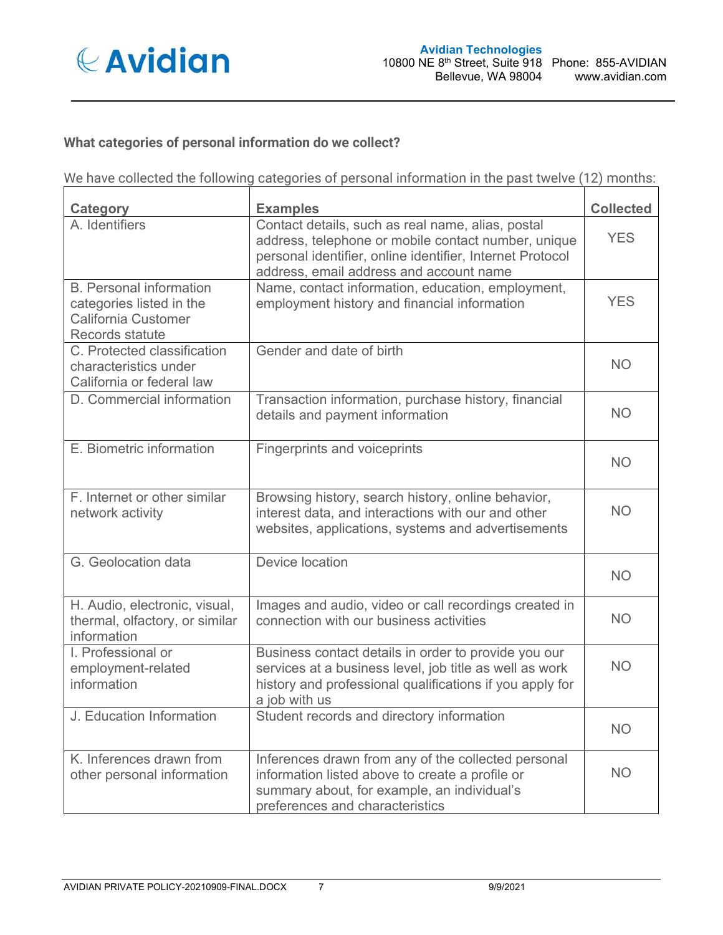

# **What categories of personal information do we collect?**

We have collected the following categories of personal information in the past twelve (12) months:

| Category                                                                                             | <b>Examples</b>                                                                                                                                                                                                  | <b>Collected</b> |
|------------------------------------------------------------------------------------------------------|------------------------------------------------------------------------------------------------------------------------------------------------------------------------------------------------------------------|------------------|
| A. Identifiers                                                                                       | Contact details, such as real name, alias, postal<br>address, telephone or mobile contact number, unique<br>personal identifier, online identifier, Internet Protocol<br>address, email address and account name | <b>YES</b>       |
| <b>B.</b> Personal information<br>categories listed in the<br>California Customer<br>Records statute | Name, contact information, education, employment,<br>employment history and financial information                                                                                                                | <b>YES</b>       |
| C. Protected classification<br>characteristics under<br>California or federal law                    | Gender and date of birth                                                                                                                                                                                         | <b>NO</b>        |
| D. Commercial information                                                                            | Transaction information, purchase history, financial<br>details and payment information                                                                                                                          | <b>NO</b>        |
| E. Biometric information                                                                             | <b>Fingerprints and voiceprints</b>                                                                                                                                                                              | <b>NO</b>        |
| F. Internet or other similar<br>network activity                                                     | Browsing history, search history, online behavior,<br>interest data, and interactions with our and other<br>websites, applications, systems and advertisements                                                   | <b>NO</b>        |
| G. Geolocation data                                                                                  | Device location                                                                                                                                                                                                  | <b>NO</b>        |
| H. Audio, electronic, visual,<br>thermal, olfactory, or similar<br>information                       | Images and audio, video or call recordings created in<br>connection with our business activities                                                                                                                 | <b>NO</b>        |
| I. Professional or<br>employment-related<br>information                                              | Business contact details in order to provide you our<br>services at a business level, job title as well as work<br>history and professional qualifications if you apply for<br>a job with us                     | <b>NO</b>        |
| J. Education Information                                                                             | Student records and directory information                                                                                                                                                                        | <b>NO</b>        |
| K. Inferences drawn from<br>other personal information                                               | Inferences drawn from any of the collected personal<br>information listed above to create a profile or<br>summary about, for example, an individual's<br>preferences and characteristics                         | <b>NO</b>        |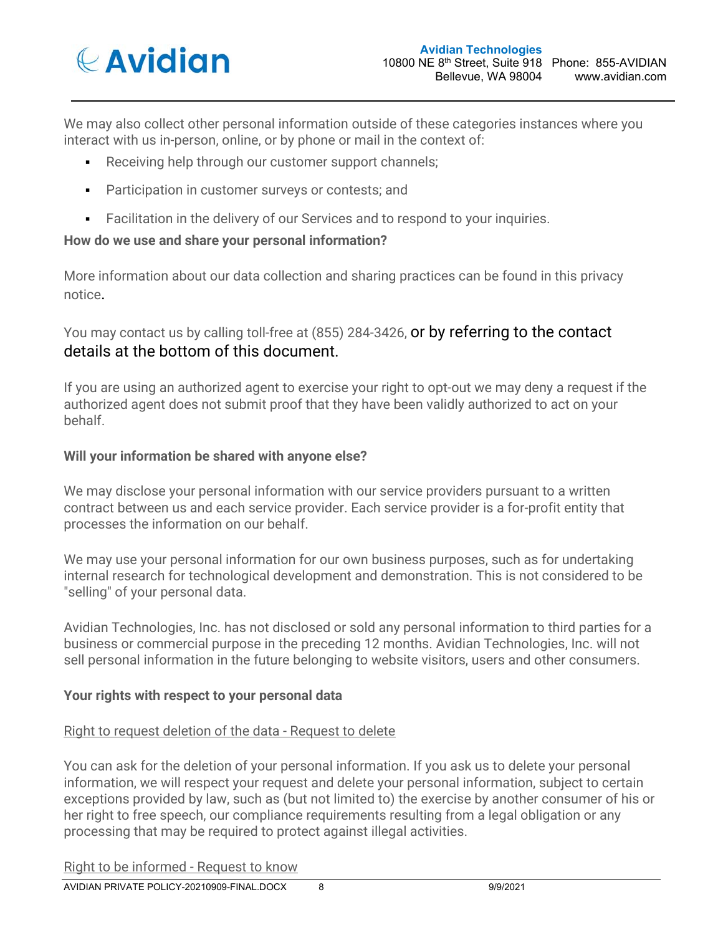

We may also collect other personal information outside of these categories instances where you interact with us in-person, online, or by phone or mail in the context of:

- Receiving help through our customer support channels;
- Participation in customer surveys or contests; and
- Facilitation in the delivery of our Services and to respond to your inquiries.

### **How do we use and share your personal information?**

More information about our data collection and sharing practices can be found in this privacy notice.

# You may contact us by calling toll-free at (855) 284-3426, or by referring to the contact details at the bottom of this document.

If you are using an authorized agent to exercise your right to opt-out we may deny a request if the authorized agent does not submit proof that they have been validly authorized to act on your behalf.

### **Will your information be shared with anyone else?**

We may disclose your personal information with our service providers pursuant to a written contract between us and each service provider. Each service provider is a for-profit entity that processes the information on our behalf.

We may use your personal information for our own business purposes, such as for undertaking internal research for technological development and demonstration. This is not considered to be "selling" of your personal data.

Avidian Technologies, Inc. has not disclosed or sold any personal information to third parties for a business or commercial purpose in the preceding 12 months. Avidian Technologies, Inc. will not sell personal information in the future belonging to website visitors, users and other consumers.

### **Your rights with respect to your personal data**

#### Right to request deletion of the data - Request to delete

You can ask for the deletion of your personal information. If you ask us to delete your personal information, we will respect your request and delete your personal information, subject to certain exceptions provided by law, such as (but not limited to) the exercise by another consumer of his or her right to free speech, our compliance requirements resulting from a legal obligation or any processing that may be required to protect against illegal activities.

#### Right to be informed - Request to know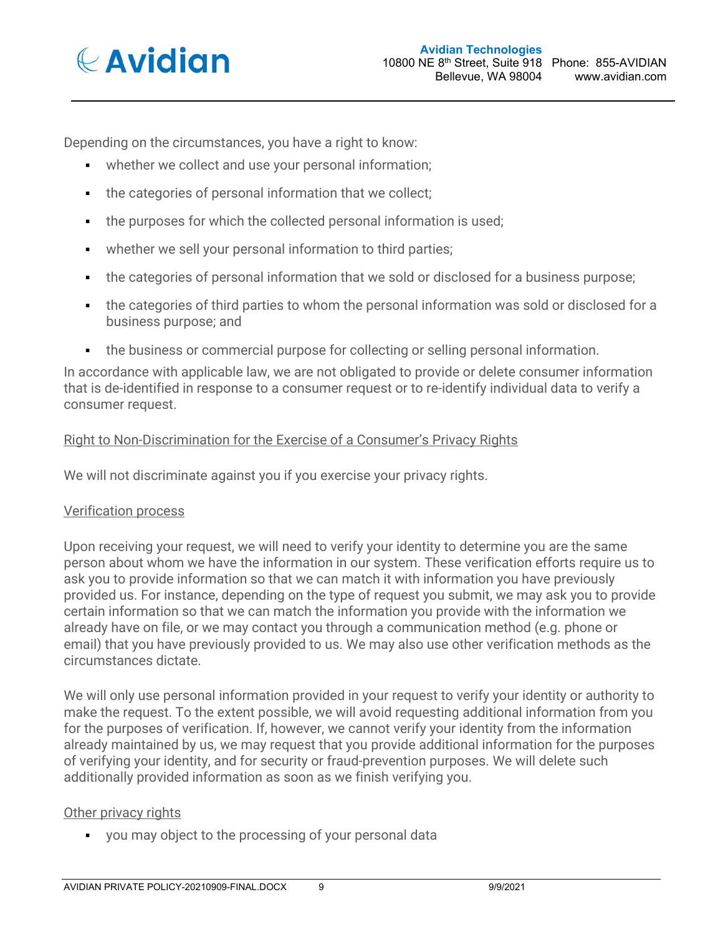

Depending on the circumstances, you have a right to know:

- whether we collect and use your personal information;
- the categories of personal information that we collect;
- the purposes for which the collected personal information is used;
- whether we sell your personal information to third parties;
- the categories of personal information that we sold or disclosed for a business purpose;
- the categories of third parties to whom the personal information was sold or disclosed for a business purpose; and
- the business or commercial purpose for collecting or selling personal information.

In accordance with applicable law, we are not obligated to provide or delete consumer information that is de-identified in response to a consumer request or to re-identify individual data to verify a consumer request.

### Right to Non-Discrimination for the Exercise of a Consumer's Privacy Rights

We will not discriminate against you if you exercise your privacy rights.

### Verification process

Upon receiving your request, we will need to verify your identity to determine you are the same person about whom we have the information in our system. These verification efforts require us to ask you to provide information so that we can match it with information you have previously provided us. For instance, depending on the type of request you submit, we may ask you to provide certain information so that we can match the information you provide with the information we already have on file, or we may contact you through a communication method (e.g. phone or email) that you have previously provided to us. We may also use other verification methods as the circumstances dictate.

We will only use personal information provided in your request to verify your identity or authority to make the request. To the extent possible, we will avoid requesting additional information from you for the purposes of verification. If, however, we cannot verify your identity from the information already maintained by us, we may request that you provide additional information for the purposes of verifying your identity, and for security or fraud-prevention purposes. We will delete such additionally provided information as soon as we finish verifying you.

### Other privacy rights

you may object to the processing of your personal data